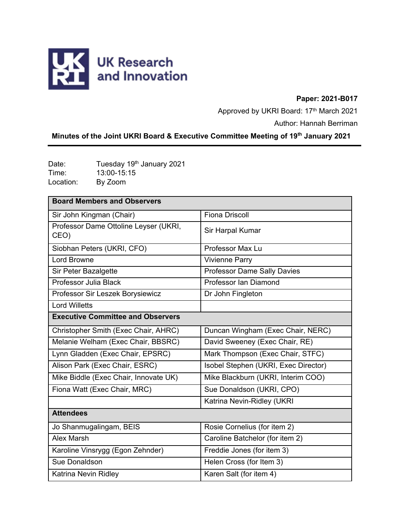

### **Paper: 2021-B017**

Approved by UKRI Board: 17th March 2021

Author: Hannah Berriman

# **Minutes of the Joint UKRI Board & Executive Committee Meeting of 19th January 2021**

Date: Tuesday 19<sup>th</sup> January 2021 Time: 13:00-15:15<br>
Location: By Zoom By Zoom

| <b>Board Members and Observers</b>            |                                      |
|-----------------------------------------------|--------------------------------------|
| Sir John Kingman (Chair)                      | <b>Fiona Driscoll</b>                |
| Professor Dame Ottoline Leyser (UKRI,<br>CEO) | Sir Harpal Kumar                     |
| Siobhan Peters (UKRI, CFO)                    | Professor Max Lu                     |
| <b>Lord Browne</b>                            | <b>Vivienne Parry</b>                |
| Sir Peter Bazalgette                          | <b>Professor Dame Sally Davies</b>   |
| Professor Julia Black                         | Professor Ian Diamond                |
| Professor Sir Leszek Borysiewicz              | Dr John Fingleton                    |
| <b>Lord Willetts</b>                          |                                      |
| <b>Executive Committee and Observers</b>      |                                      |
| Christopher Smith (Exec Chair, AHRC)          | Duncan Wingham (Exec Chair, NERC)    |
| Melanie Welham (Exec Chair, BBSRC)            | David Sweeney (Exec Chair, RE)       |
| Lynn Gladden (Exec Chair, EPSRC)              | Mark Thompson (Exec Chair, STFC)     |
| Alison Park (Exec Chair, ESRC)                | Isobel Stephen (UKRI, Exec Director) |
| Mike Biddle (Exec Chair, Innovate UK)         | Mike Blackburn (UKRI, Interim COO)   |
| Fiona Watt (Exec Chair, MRC)                  | Sue Donaldson (UKRI, CPO)            |
|                                               | Katrina Nevin-Ridley (UKRI           |
| <b>Attendees</b>                              |                                      |
| Jo Shanmugalingam, BEIS                       | Rosie Cornelius (for item 2)         |
| Alex Marsh                                    | Caroline Batchelor (for item 2)      |
| Karoline Vinsrygg (Egon Zehnder)              | Freddie Jones (for item 3)           |
| Sue Donaldson                                 | Helen Cross (for Item 3)             |
| Katrina Nevin Ridley                          | Karen Salt (for item 4)              |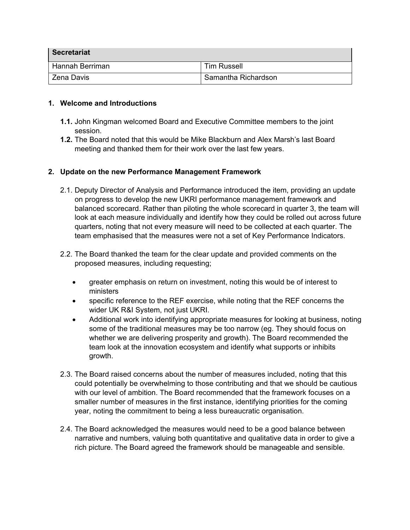| <b>Secretariat</b> |                     |
|--------------------|---------------------|
| Hannah Berriman    | <b>Tim Russell</b>  |
| Zena Davis         | Samantha Richardson |

#### **1. Welcome and Introductions**

- **1.1.** John Kingman welcomed Board and Executive Committee members to the joint session.
- **1.2.** The Board noted that this would be Mike Blackburn and Alex Marsh's last Board meeting and thanked them for their work over the last few years.

#### **2. Update on the new Performance Management Framework**

- 2.1. Deputy Director of Analysis and Performance introduced the item, providing an update on progress to develop the new UKRI performance management framework and balanced scorecard. Rather than piloting the whole scorecard in quarter 3, the team will look at each measure individually and identify how they could be rolled out across future quarters, noting that not every measure will need to be collected at each quarter. The team emphasised that the measures were not a set of Key Performance Indicators.
- 2.2. The Board thanked the team for the clear update and provided comments on the proposed measures, including requesting;
	- greater emphasis on return on investment, noting this would be of interest to ministers
	- specific reference to the REF exercise, while noting that the REF concerns the wider UK R&I System, not just UKRI.
	- Additional work into identifying appropriate measures for looking at business, noting some of the traditional measures may be too narrow (eg. They should focus on whether we are delivering prosperity and growth). The Board recommended the team look at the innovation ecosystem and identify what supports or inhibits growth.
- 2.3. The Board raised concerns about the number of measures included, noting that this could potentially be overwhelming to those contributing and that we should be cautious with our level of ambition. The Board recommended that the framework focuses on a smaller number of measures in the first instance, identifying priorities for the coming year, noting the commitment to being a less bureaucratic organisation.
- 2.4. The Board acknowledged the measures would need to be a good balance between narrative and numbers, valuing both quantitative and qualitative data in order to give a rich picture. The Board agreed the framework should be manageable and sensible.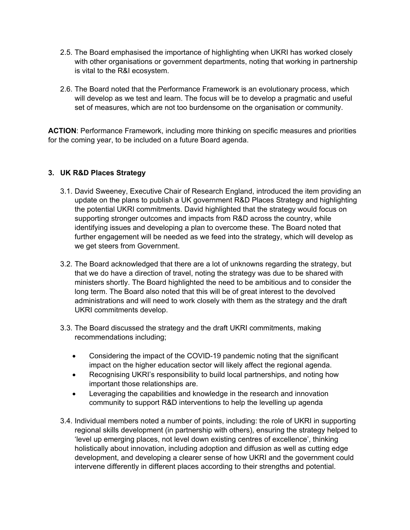- 2.5. The Board emphasised the importance of highlighting when UKRI has worked closely with other organisations or government departments, noting that working in partnership is vital to the R&I ecosystem.
- 2.6. The Board noted that the Performance Framework is an evolutionary process, which will develop as we test and learn. The focus will be to develop a pragmatic and useful set of measures, which are not too burdensome on the organisation or community.

**ACTION**: Performance Framework, including more thinking on specific measures and priorities for the coming year, to be included on a future Board agenda.

### **3. UK R&D Places Strategy**

- 3.1. David Sweeney, Executive Chair of Research England, introduced the item providing an update on the plans to publish a UK government R&D Places Strategy and highlighting the potential UKRI commitments. David highlighted that the strategy would focus on supporting stronger outcomes and impacts from R&D across the country, while identifying issues and developing a plan to overcome these. The Board noted that further engagement will be needed as we feed into the strategy, which will develop as we get steers from Government.
- 3.2. The Board acknowledged that there are a lot of unknowns regarding the strategy, but that we do have a direction of travel, noting the strategy was due to be shared with ministers shortly. The Board highlighted the need to be ambitious and to consider the long term. The Board also noted that this will be of great interest to the devolved administrations and will need to work closely with them as the strategy and the draft UKRI commitments develop.
- 3.3. The Board discussed the strategy and the draft UKRI commitments, making recommendations including;
	- Considering the impact of the COVID-19 pandemic noting that the significant impact on the higher education sector will likely affect the regional agenda.
	- Recognising UKRI's responsibility to build local partnerships, and noting how important those relationships are.
	- Leveraging the capabilities and knowledge in the research and innovation community to support R&D interventions to help the levelling up agenda
- 3.4. Individual members noted a number of points, including: the role of UKRI in supporting regional skills development (in partnership with others), ensuring the strategy helped to 'level up emerging places, not level down existing centres of excellence', thinking holistically about innovation, including adoption and diffusion as well as cutting edge development, and developing a clearer sense of how UKRI and the government could intervene differently in different places according to their strengths and potential.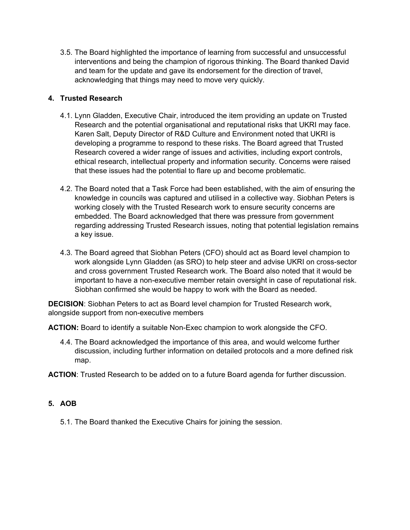3.5. The Board highlighted the importance of learning from successful and unsuccessful interventions and being the champion of rigorous thinking. The Board thanked David and team for the update and gave its endorsement for the direction of travel, acknowledging that things may need to move very quickly.

# **4. Trusted Research**

- 4.1. Lynn Gladden, Executive Chair, introduced the item providing an update on Trusted Research and the potential organisational and reputational risks that UKRI may face. Karen Salt, Deputy Director of R&D Culture and Environment noted that UKRI is developing a programme to respond to these risks. The Board agreed that Trusted Research covered a wider range of issues and activities, including export controls, ethical research, intellectual property and information security. Concerns were raised that these issues had the potential to flare up and become problematic.
- 4.2. The Board noted that a Task Force had been established, with the aim of ensuring the knowledge in councils was captured and utilised in a collective way. Siobhan Peters is working closely with the Trusted Research work to ensure security concerns are embedded. The Board acknowledged that there was pressure from government regarding addressing Trusted Research issues, noting that potential legislation remains a key issue.
- 4.3. The Board agreed that Siobhan Peters (CFO) should act as Board level champion to work alongside Lynn Gladden (as SRO) to help steer and advise UKRI on cross-sector and cross government Trusted Research work. The Board also noted that it would be important to have a non-executive member retain oversight in case of reputational risk. Siobhan confirmed she would be happy to work with the Board as needed.

**DECISION**: Siobhan Peters to act as Board level champion for Trusted Research work, alongside support from non-executive members

**ACTION:** Board to identify a suitable Non-Exec champion to work alongside the CFO.

4.4. The Board acknowledged the importance of this area, and would welcome further discussion, including further information on detailed protocols and a more defined risk map.

**ACTION**: Trusted Research to be added on to a future Board agenda for further discussion.

## **5. AOB**

5.1. The Board thanked the Executive Chairs for joining the session.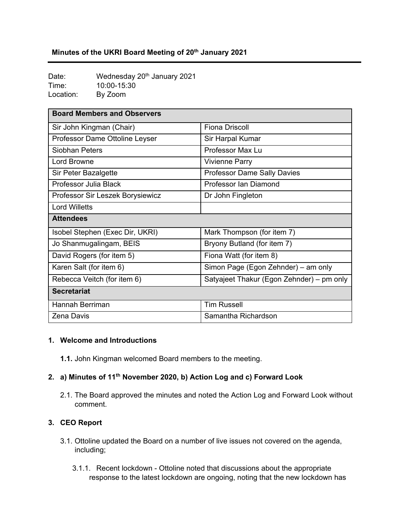# **Minutes of the UKRI Board Meeting of 20th January 2021**

Date: Wednesday 20<sup>th</sup> January 2021 Time: 10:00-15:30 Location: By Zoom

| <b>Board Members and Observers</b> |                                           |
|------------------------------------|-------------------------------------------|
| Sir John Kingman (Chair)           | <b>Fiona Driscoll</b>                     |
| Professor Dame Ottoline Leyser     | Sir Harpal Kumar                          |
| <b>Siobhan Peters</b>              | Professor Max Lu                          |
| <b>Lord Browne</b>                 | <b>Vivienne Parry</b>                     |
| Sir Peter Bazalgette               | <b>Professor Dame Sally Davies</b>        |
| Professor Julia Black              | Professor Ian Diamond                     |
| Professor Sir Leszek Borysiewicz   | Dr John Fingleton                         |
| <b>Lord Willetts</b>               |                                           |
| <b>Attendees</b>                   |                                           |
| Isobel Stephen (Exec Dir, UKRI)    | Mark Thompson (for item 7)                |
| Jo Shanmugalingam, BEIS            | Bryony Butland (for item 7)               |
| David Rogers (for item 5)          | Fiona Watt (for item 8)                   |
| Karen Salt (for item 6)            | Simon Page (Egon Zehnder) – am only       |
| Rebecca Veitch (for item 6)        | Satyajeet Thakur (Egon Zehnder) – pm only |
| <b>Secretariat</b>                 |                                           |
| Hannah Berriman                    | <b>Tim Russell</b>                        |
| <b>Zena Davis</b>                  | Samantha Richardson                       |

#### **1. Welcome and Introductions**

**1.1.** John Kingman welcomed Board members to the meeting.

# **2. a) Minutes of 11th November 2020, b) Action Log and c) Forward Look**

2.1. The Board approved the minutes and noted the Action Log and Forward Look without comment.

#### **3. CEO Report**

- 3.1. Ottoline updated the Board on a number of live issues not covered on the agenda, including;
	- 3.1.1. Recent lockdown Ottoline noted that discussions about the appropriate response to the latest lockdown are ongoing, noting that the new lockdown has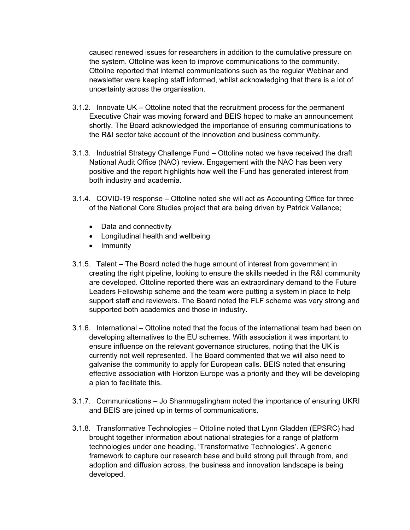caused renewed issues for researchers in addition to the cumulative pressure on the system. Ottoline was keen to improve communications to the community. Ottoline reported that internal communications such as the regular Webinar and newsletter were keeping staff informed, whilst acknowledging that there is a lot of uncertainty across the organisation.

- 3.1.2. Innovate UK Ottoline noted that the recruitment process for the permanent Executive Chair was moving forward and BEIS hoped to make an announcement shortly. The Board acknowledged the importance of ensuring communications to the R&I sector take account of the innovation and business community.
- 3.1.3. Industrial Strategy Challenge Fund Ottoline noted we have received the draft National Audit Office (NAO) review. Engagement with the NAO has been very positive and the report highlights how well the Fund has generated interest from both industry and academia.
- 3.1.4. COVID-19 response Ottoline noted she will act as Accounting Office for three of the National Core Studies project that are being driven by Patrick Vallance;
	- Data and connectivity
	- Longitudinal health and wellbeing
	- Immunity
- 3.1.5. Talent The Board noted the huge amount of interest from government in creating the right pipeline, looking to ensure the skills needed in the R&I community are developed. Ottoline reported there was an extraordinary demand to the Future Leaders Fellowship scheme and the team were putting a system in place to help support staff and reviewers. The Board noted the FLF scheme was very strong and supported both academics and those in industry.
- 3.1.6. International Ottoline noted that the focus of the international team had been on developing alternatives to the EU schemes. With association it was important to ensure influence on the relevant governance structures, noting that the UK is currently not well represented. The Board commented that we will also need to galvanise the community to apply for European calls. BEIS noted that ensuring effective association with Horizon Europe was a priority and they will be developing a plan to facilitate this.
- 3.1.7. Communications Jo Shanmugalingham noted the importance of ensuring UKRI and BEIS are joined up in terms of communications.
- 3.1.8. Transformative Technologies Ottoline noted that Lynn Gladden (EPSRC) had brought together information about national strategies for a range of platform technologies under one heading, 'Transformative Technologies'. A generic framework to capture our research base and build strong pull through from, and adoption and diffusion across, the business and innovation landscape is being developed.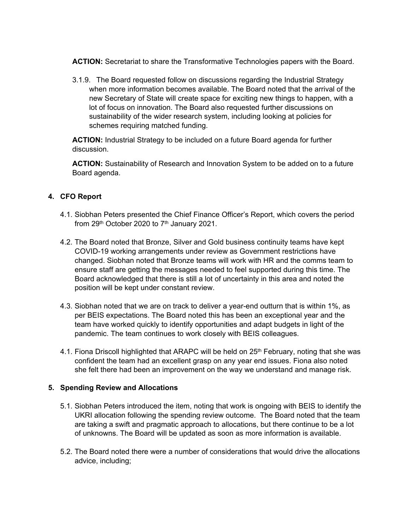**ACTION:** Secretariat to share the Transformative Technologies papers with the Board.

3.1.9. The Board requested follow on discussions regarding the Industrial Strategy when more information becomes available. The Board noted that the arrival of the new Secretary of State will create space for exciting new things to happen, with a lot of focus on innovation. The Board also requested further discussions on sustainability of the wider research system, including looking at policies for schemes requiring matched funding.

**ACTION:** Industrial Strategy to be included on a future Board agenda for further discussion.

**ACTION:** Sustainability of Research and Innovation System to be added on to a future Board agenda.

## **4. CFO Report**

- 4.1. Siobhan Peters presented the Chief Finance Officer's Report, which covers the period from  $29<sup>th</sup>$  October 2020 to  $7<sup>th</sup>$  January 2021.
- 4.2. The Board noted that Bronze, Silver and Gold business continuity teams have kept COVID-19 working arrangements under review as Government restrictions have changed. Siobhan noted that Bronze teams will work with HR and the comms team to ensure staff are getting the messages needed to feel supported during this time. The Board acknowledged that there is still a lot of uncertainty in this area and noted the position will be kept under constant review.
- 4.3. Siobhan noted that we are on track to deliver a year-end outturn that is within 1%, as per BEIS expectations. The Board noted this has been an exceptional year and the team have worked quickly to identify opportunities and adapt budgets in light of the pandemic. The team continues to work closely with BEIS colleagues.
- 4.1. Fiona Driscoll highlighted that ARAPC will be held on 25<sup>th</sup> February, noting that she was confident the team had an excellent grasp on any year end issues. Fiona also noted she felt there had been an improvement on the way we understand and manage risk.

## **5. Spending Review and Allocations**

- 5.1. Siobhan Peters introduced the item, noting that work is ongoing with BEIS to identify the UKRI allocation following the spending review outcome. The Board noted that the team are taking a swift and pragmatic approach to allocations, but there continue to be a lot of unknowns. The Board will be updated as soon as more information is available.
- 5.2. The Board noted there were a number of considerations that would drive the allocations advice, including;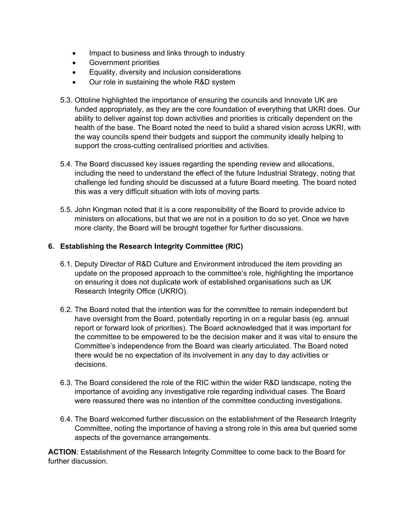- Impact to business and links through to industry
- Government priorities
- Equality, diversity and inclusion considerations
- Our role in sustaining the whole R&D system
- 5.3. Ottoline highlighted the importance of ensuring the councils and Innovate UK are funded appropriately, as they are the core foundation of everything that UKRI does. Our ability to deliver against top down activities and priorities is critically dependent on the health of the base. The Board noted the need to build a shared vision across UKRI, with the way councils spend their budgets and support the community ideally helping to support the cross-cutting centralised priorities and activities.
- 5.4. The Board discussed key issues regarding the spending review and allocations, including the need to understand the effect of the future Industrial Strategy, noting that challenge led funding should be discussed at a future Board meeting. The board noted this was a very difficult situation with lots of moving parts.
- 5.5. John Kingman noted that it is a core responsibility of the Board to provide advice to ministers on allocations, but that we are not in a position to do so yet. Once we have more clarity, the Board will be brought together for further discussions.

### **6. Establishing the Research Integrity Committee (RIC)**

- 6.1. Deputy Director of R&D Culture and Environment introduced the item providing an update on the proposed approach to the committee's role, highlighting the importance on ensuring it does not duplicate work of established organisations such as UK Research Integrity Office (UKRIO).
- 6.2. The Board noted that the intention was for the committee to remain independent but have oversight from the Board, potentially reporting in on a regular basis (eg. annual report or forward look of priorities). The Board acknowledged that it was important for the committee to be empowered to be the decision maker and it was vital to ensure the Committee's independence from the Board was clearly articulated. The Board noted there would be no expectation of its involvement in any day to day activities or decisions.
- 6.3. The Board considered the role of the RIC within the wider R&D landscape, noting the importance of avoiding any investigative role regarding individual cases. The Board were reassured there was no intention of the committee conducting investigations.
- 6.4. The Board welcomed further discussion on the establishment of the Research Integrity Committee, noting the importance of having a strong role in this area but queried some aspects of the governance arrangements.

**ACTION**: Establishment of the Research Integrity Committee to come back to the Board for further discussion.